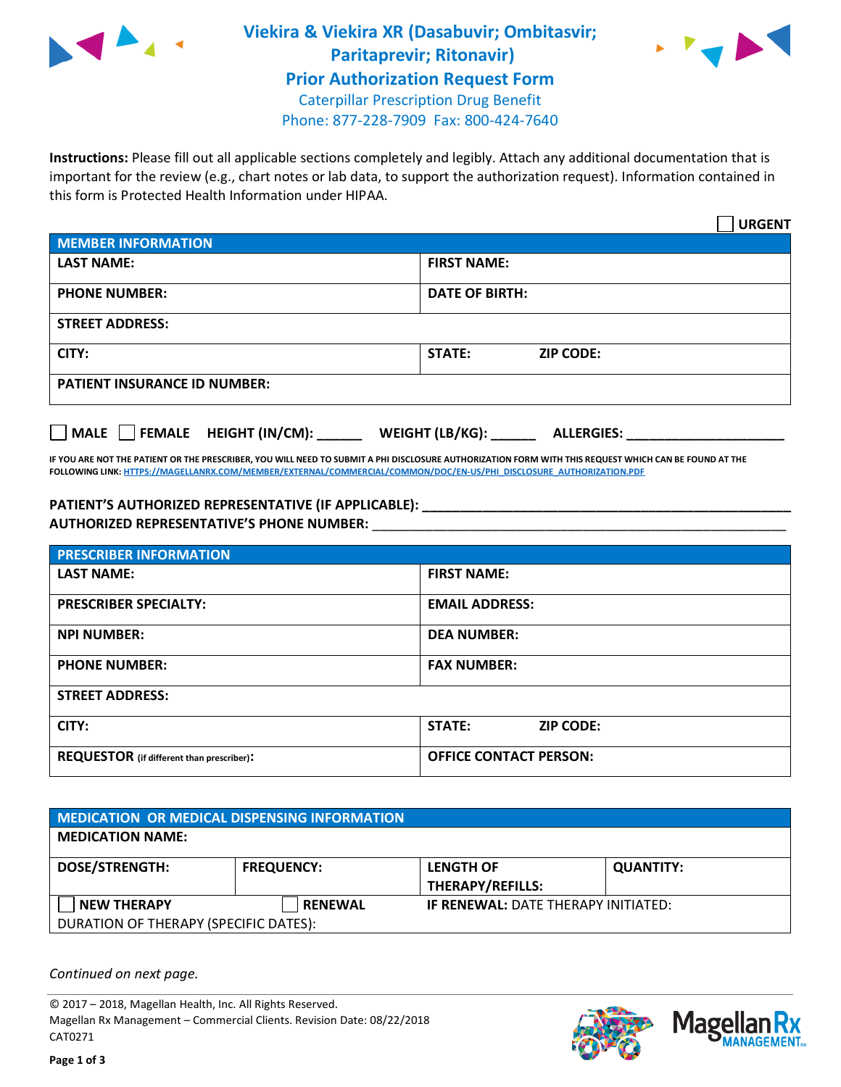

# **Viekira & Viekira XR (Dasabuvir; Ombitasvir; Paritaprevir; Ritonavir) Prior Authorization Request Form**



Caterpillar Prescription Drug Benefit Phone: 877-228-7909 Fax: 800-424-7640

**Instructions:** Please fill out all applicable sections completely and legibly. Attach any additional documentation that is important for the review (e.g., chart notes or lab data, to support the authorization request). Information contained in this form is Protected Health Information under HIPAA.

|                                                 | <b>URGENT</b>                        |  |  |  |
|-------------------------------------------------|--------------------------------------|--|--|--|
| <b>MEMBER INFORMATION</b>                       |                                      |  |  |  |
| <b>LAST NAME:</b>                               | <b>FIRST NAME:</b>                   |  |  |  |
| <b>PHONE NUMBER:</b>                            | <b>DATE OF BIRTH:</b>                |  |  |  |
| <b>STREET ADDRESS:</b>                          |                                      |  |  |  |
| CITY:                                           | <b>STATE:</b><br><b>ZIP CODE:</b>    |  |  |  |
| <b>PATIENT INSURANCE ID NUMBER:</b>             |                                      |  |  |  |
| HEIGHT (IN/CM):<br><b>MALE</b><br><b>FEMALE</b> | WEIGHT (LB/KG):<br><b>ALLERGIES:</b> |  |  |  |

**IF YOU ARE NOT THE PATIENT OR THE PRESCRIBER, YOU WILL NEED TO SUBMIT A PHI DISCLOSURE AUTHORIZATION FORM WITH THIS REQUEST WHICH CAN BE FOUND AT THE FOLLOWING LINK[: HTTPS://MAGELLANRX.COM/MEMBER/EXTERNAL/COMMERCIAL/COMMON/DOC/EN-US/PHI\\_DISCLOSURE\\_AUTHORIZATION.PDF](https://magellanrx.com/member/external/commercial/common/doc/en-us/PHI_Disclosure_Authorization.pdf)**

#### **PATIENT'S AUTHORIZED REPRESENTATIVE (IF APPLICABLE): \_\_\_\_\_\_\_\_\_\_\_\_\_\_\_\_\_\_\_\_\_\_\_\_\_\_\_\_\_\_\_\_\_\_\_\_\_\_\_\_\_\_\_\_\_\_\_\_\_ AUTHORIZED REPRESENTATIVE'S PHONE NUMBER:** \_\_\_\_\_\_\_\_\_\_\_\_\_\_\_\_\_\_\_\_\_\_\_\_\_\_\_\_\_\_\_\_\_\_\_\_\_\_\_\_\_\_\_\_\_\_\_\_\_\_\_\_\_\_\_

| <b>PRESCRIBER INFORMATION</b>             |                               |  |
|-------------------------------------------|-------------------------------|--|
| <b>LAST NAME:</b>                         | <b>FIRST NAME:</b>            |  |
| <b>PRESCRIBER SPECIALTY:</b>              | <b>EMAIL ADDRESS:</b>         |  |
| <b>NPI NUMBER:</b>                        | <b>DEA NUMBER:</b>            |  |
| <b>PHONE NUMBER:</b>                      | <b>FAX NUMBER:</b>            |  |
| <b>STREET ADDRESS:</b>                    |                               |  |
| CITY:                                     | STATE:<br><b>ZIP CODE:</b>    |  |
| REQUESTOR (if different than prescriber): | <b>OFFICE CONTACT PERSON:</b> |  |

| <b>MEDICATION OR MEDICAL DISPENSING INFORMATION</b> |                   |                                             |                  |  |
|-----------------------------------------------------|-------------------|---------------------------------------------|------------------|--|
| <b>MEDICATION NAME:</b>                             |                   |                                             |                  |  |
| <b>DOSE/STRENGTH:</b>                               | <b>FREQUENCY:</b> | <b>LENGTH OF</b><br><b>THERAPY/REFILLS:</b> | <b>QUANTITY:</b> |  |
| <b>NEW THERAPY</b>                                  | <b>RENEWAL</b>    | <b>IF RENEWAL: DATE THERAPY INITIATED:</b>  |                  |  |
| DURATION OF THERAPY (SPECIFIC DATES):               |                   |                                             |                  |  |

*Continued on next page.*

© 2017 – 2018, Magellan Health, Inc. All Rights Reserved. Magellan Rx Management – Commercial Clients. Revision Date: 08/22/2018 CAT0271



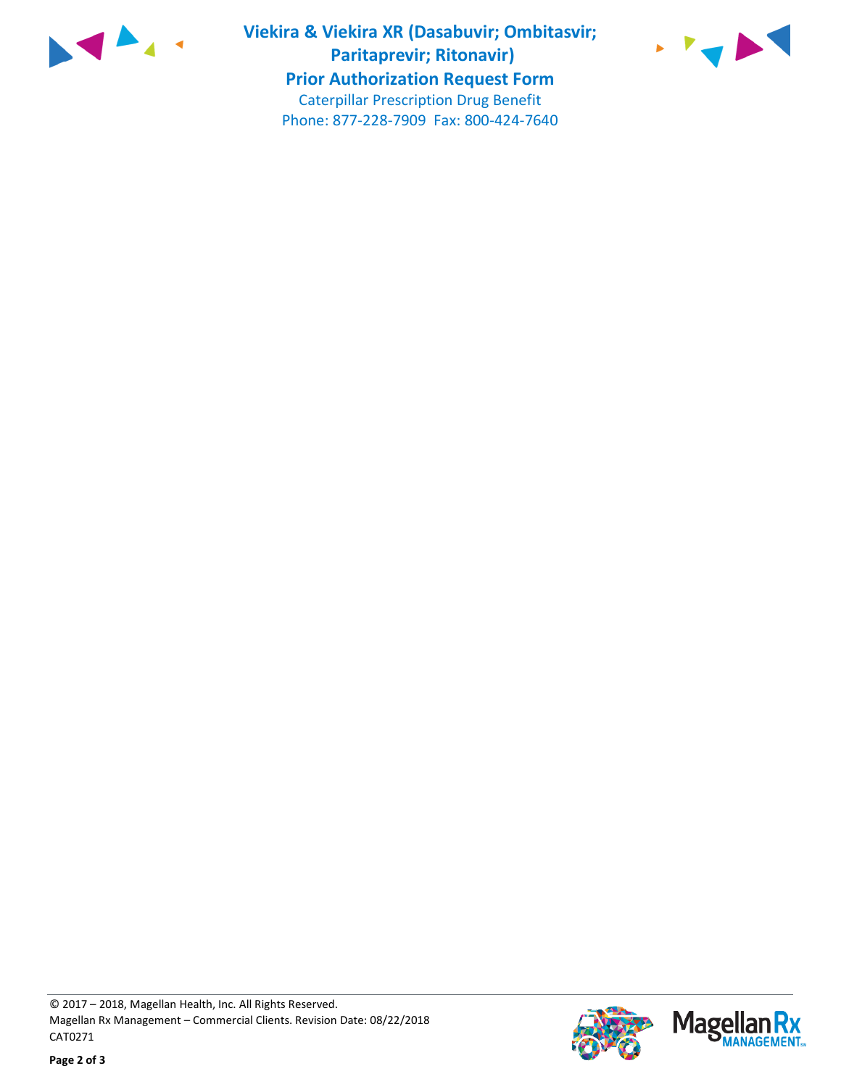

**Viekira & Viekira XR (Dasabuvir; Ombitasvir; Paritaprevir; Ritonavir) Prior Authorization Request Form** Caterpillar Prescription Drug Benefit Phone: 877-228-7909 Fax: 800-424-7640



**Page 2 of 3**



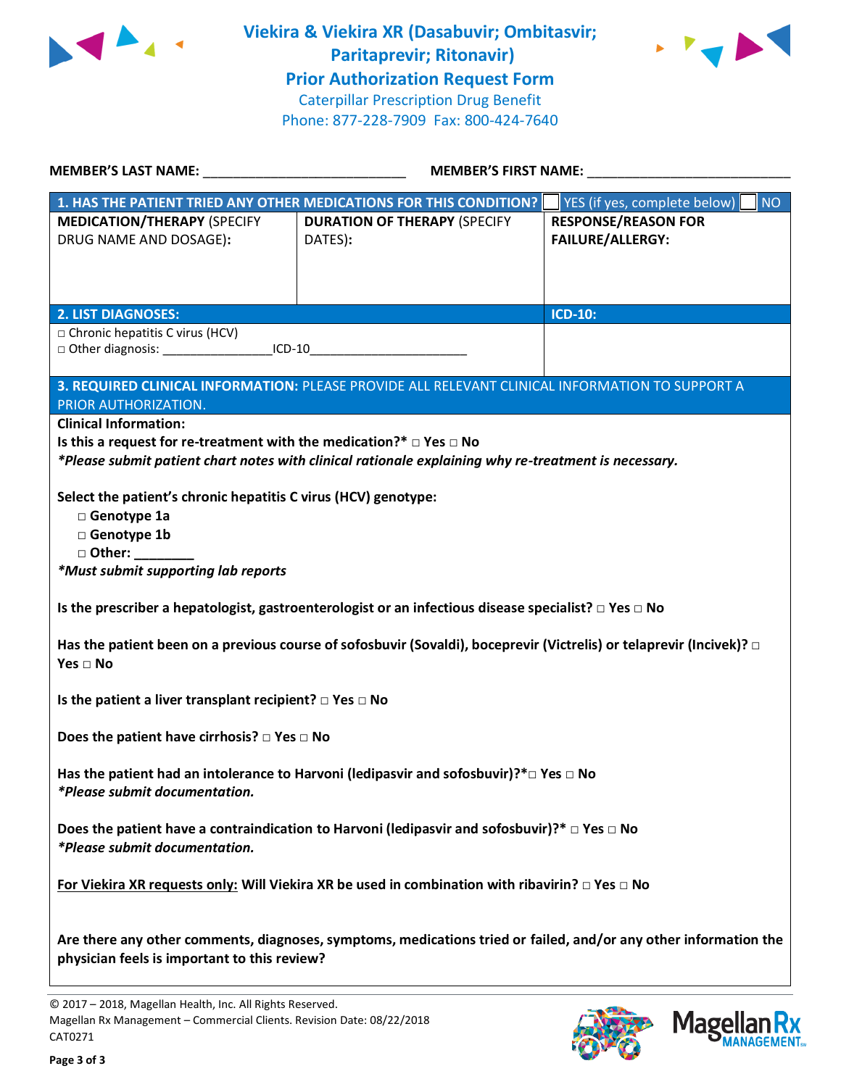

**Viekira & Viekira XR (Dasabuvir; Ombitasvir; Paritaprevir; Ritonavir) Prior Authorization Request Form**



Caterpillar Prescription Drug Benefit Phone: 877-228-7909 Fax: 800-424-7640

| MEMBER'S LAST NAME: __________________________________                                                                                                      | <b>MEMBER'S FIRST NAME:</b>                                                                                               |                                                                                                                  |  |  |
|-------------------------------------------------------------------------------------------------------------------------------------------------------------|---------------------------------------------------------------------------------------------------------------------------|------------------------------------------------------------------------------------------------------------------|--|--|
|                                                                                                                                                             | 1. HAS THE PATIENT TRIED ANY OTHER MEDICATIONS FOR THIS CONDITION? $  $ YES (if yes, complete below) $  $                 | <b>NO</b>                                                                                                        |  |  |
| <b>MEDICATION/THERAPY (SPECIFY</b><br>DRUG NAME AND DOSAGE):                                                                                                | <b>DURATION OF THERAPY (SPECIFY</b><br>DATES):                                                                            | <b>RESPONSE/REASON FOR</b><br><b>FAILURE/ALLERGY:</b>                                                            |  |  |
| <b>2. LIST DIAGNOSES:</b>                                                                                                                                   |                                                                                                                           | <b>ICD-10:</b>                                                                                                   |  |  |
| $\Box$ Chronic hepatitis C virus (HCV)                                                                                                                      |                                                                                                                           |                                                                                                                  |  |  |
| □ Other diagnosis: _____________________ICD-10_________________________________                                                                             |                                                                                                                           |                                                                                                                  |  |  |
| PRIOR AUTHORIZATION.                                                                                                                                        | 3. REQUIRED CLINICAL INFORMATION: PLEASE PROVIDE ALL RELEVANT CLINICAL INFORMATION TO SUPPORT A                           |                                                                                                                  |  |  |
| <b>Clinical Information:</b>                                                                                                                                |                                                                                                                           |                                                                                                                  |  |  |
| Is this a request for re-treatment with the medication?* $\Box$ Yes $\Box$ No                                                                               | *Please submit patient chart notes with clinical rationale explaining why re-treatment is necessary.                      |                                                                                                                  |  |  |
| Select the patient's chronic hepatitis C virus (HCV) genotype:<br>□ Genotype 1a<br>□ Genotype 1b<br>□ Other: _______<br>*Must submit supporting lab reports |                                                                                                                           |                                                                                                                  |  |  |
|                                                                                                                                                             | Is the prescriber a hepatologist, gastroenterologist or an infectious disease specialist? $\Box$ Yes $\Box$ No            |                                                                                                                  |  |  |
| Yes $\Box$ No                                                                                                                                               | Has the patient been on a previous course of sofosbuvir (Sovaldi), boceprevir (Victrelis) or telaprevir (Incivek)? $\Box$ |                                                                                                                  |  |  |
| Is the patient a liver transplant recipient? $\square$ Yes $\square$ No                                                                                     |                                                                                                                           |                                                                                                                  |  |  |
| Does the patient have cirrhosis? $\Box$ Yes $\Box$ No                                                                                                       |                                                                                                                           |                                                                                                                  |  |  |
| *Please submit documentation.                                                                                                                               | Has the patient had an intolerance to Harvoni (ledipasvir and sofosbuvir)?* $\square$ Yes $\square$ No                    |                                                                                                                  |  |  |
| Does the patient have a contraindication to Harvoni (ledipasvir and sofosbuvir)?* $\Box$ Yes $\Box$ No<br>*Please submit documentation.                     |                                                                                                                           |                                                                                                                  |  |  |
| For Viekira XR requests only: Will Viekira XR be used in combination with ribavirin? $\Box$ Yes $\Box$ No                                                   |                                                                                                                           |                                                                                                                  |  |  |
| physician feels is important to this review?                                                                                                                |                                                                                                                           | Are there any other comments, diagnoses, symptoms, medications tried or failed, and/or any other information the |  |  |